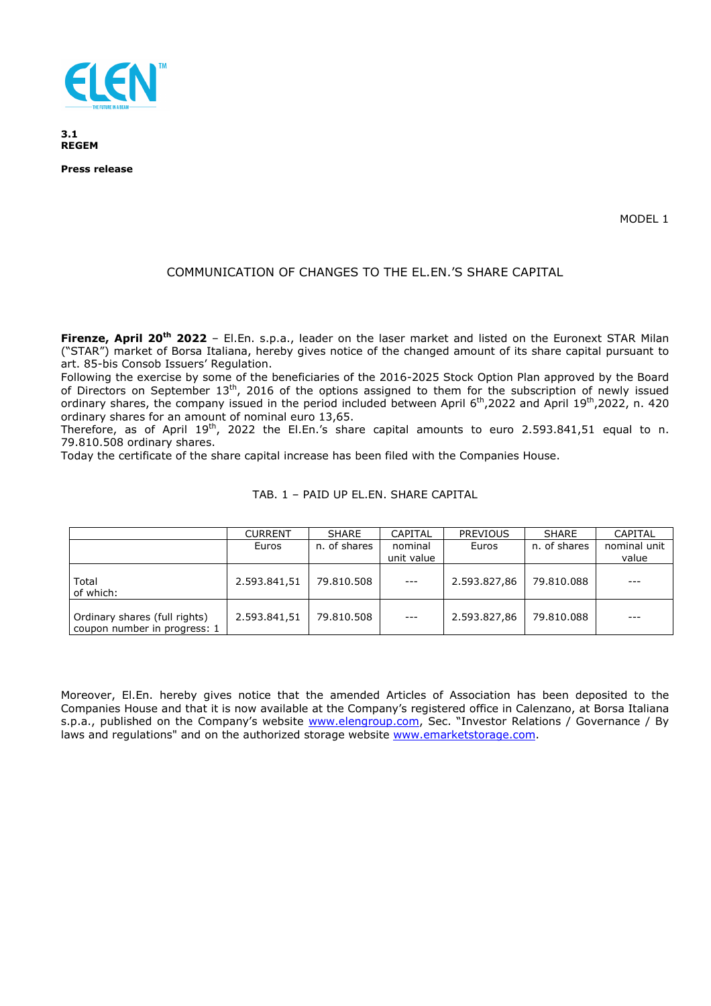

**3.1 REGEM** 

**Press release** 

MODEL 1

## COMMUNICATION OF CHANGES TO THE EL.EN.'S SHARE CAPITAL

**Firenze, April 20th 2022** – El.En. s.p.a., leader on the laser market and listed on the Euronext STAR Milan ("STAR") market of Borsa Italiana, hereby gives notice of the changed amount of its share capital pursuant to art. 85-bis Consob Issuers' Regulation.

Following the exercise by some of the beneficiaries of the 2016-2025 Stock Option Plan approved by the Board of Directors on September 13<sup>th</sup>, 2016 of the options assigned to them for the subscription of newly issued ordinary shares, the company issued in the period included between April 6<sup>th</sup>,2022 and April 19<sup>th</sup>,2022, n. 420 ordinary shares for an amount of nominal euro 13,65.

Therefore, as of April 19<sup>th</sup>, 2022 the El.En.'s share capital amounts to euro 2.593.841.51 equal to n. 79.810.508 ordinary shares.

Today the certificate of the share capital increase has been filed with the Companies House.

|                                                               | <b>CURRENT</b> | <b>SHARE</b> | CAPITAL               | <b>PREVIOUS</b> | <b>SHARE</b> | <b>CAPITAL</b>        |
|---------------------------------------------------------------|----------------|--------------|-----------------------|-----------------|--------------|-----------------------|
|                                                               | Euros          | n. of shares | nominal<br>unit value | Euros           | n. of shares | nominal unit<br>value |
| Total<br>of which:                                            | 2.593.841,51   | 79.810.508   | $\qquad \qquad - -$   | 2.593.827,86    | 79.810.088   | $- - -$               |
| Ordinary shares (full rights)<br>coupon number in progress: 1 | 2.593.841,51   | 79.810.508   | $- - -$               | 2.593.827,86    | 79.810.088   | $- - -$               |

## TAB. 1 – PAID UP EL.EN. SHARE CAPITAL

Moreover, El.En. hereby gives notice that the amended Articles of Association has been deposited to the Companies House and that it is now available at the Company's registered office in Calenzano, at Borsa Italiana s.p.a., published on the Company's website www.elengroup.com, Sec. "Investor Relations / Governance / By laws and regulations" and on the authorized storage website www.emarketstorage.com.